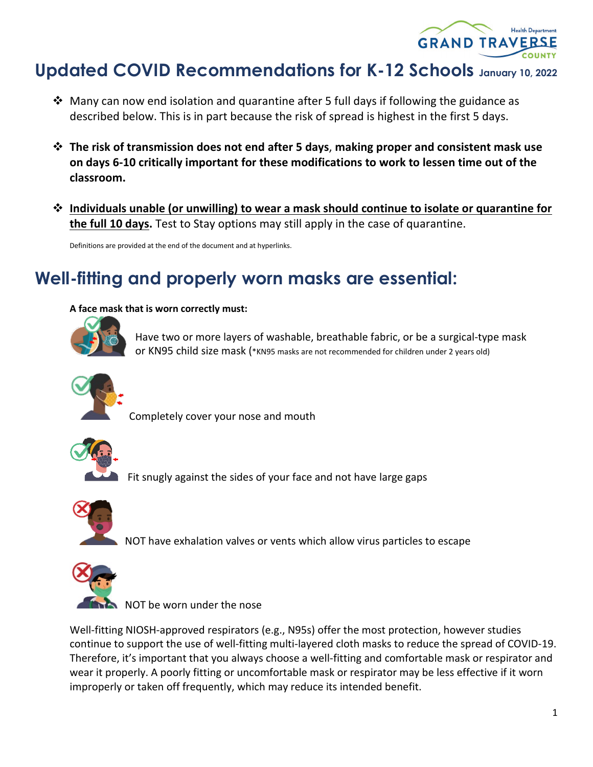

# **Updated COVID Recommendations for K-12 Schools January 10, 2022**

- $\cdot$  Many can now end isolation and quarantine after 5 full days if following the guidance as described below. This is in part because the risk of spread is highest in the first 5 days.
- **The risk of transmission does not end after 5 days**, **making proper and consistent mask use on days 6-10 critically important for these modifications to work to lessen time out of the classroom.**
- **Individuals unable (or unwilling) to wear a mask should continue to isolate or quarantine for the full 10 days.** Test to Stay options may still apply in the case of quarantine.

Definitions are provided at the end of the document and at hyperlinks.

## **Well-fitting and properly worn masks are essential:**

#### **A face mask that is worn correctly must:**



Have two or more layers of washable, breathable fabric, or be a surgical-type mask or KN95 child size mask (\*KN95 masks are not recommended for children under 2 years old)



Completely cover your nose and mouth



Fit snugly against the sides of your face and not have large gaps



NOT have exhalation valves or vents which allow virus particles to escape



NOT be worn under the nose

Well-fitting NIOSH-approved respirators (e.g., N95s) offer the most protection, however studies continue to support the use of well-fitting multi-layered cloth masks to reduce the spread of COVID-19. Therefore, it's important that you always choose a well-fitting and comfortable mask or respirator and wear it properly. A poorly fitting or uncomfortable mask or respirator may be less effective if it worn improperly or taken off frequently, which may reduce its intended benefit.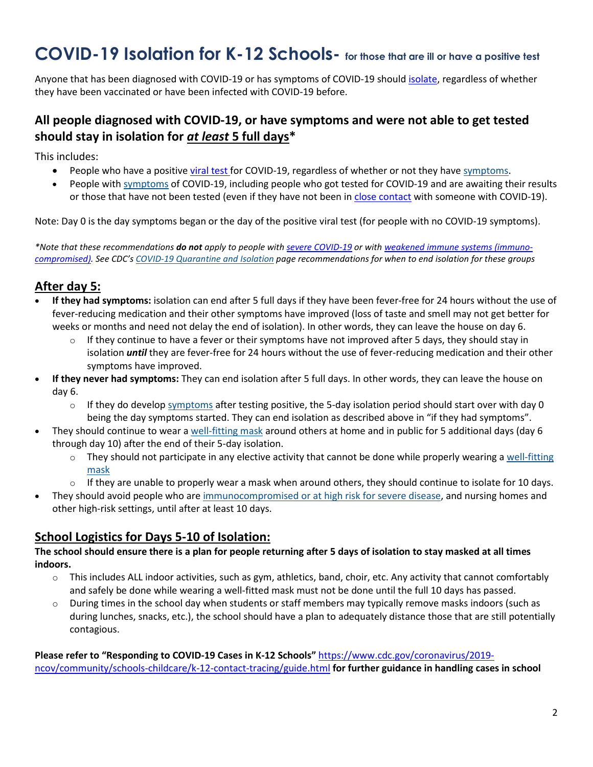## **COVID-19 Isolation for K-12 Schools- for those that are ill or have a positive test**

Anyone that has been diagnosed with COVID-19 or has symptoms of COVID-19 should *isolate*, regardless of whether they have been vaccinated or have been infected with COVID-19 before.

## **All people diagnosed with COVID-19, or have symptoms and were not able to get tested should stay in isolation for** *at least* **5 full days\***

This includes:

- People who have a positiv[e viral test](https://www.cdc.gov/coronavirus/2019-ncov/testing/diagnostic-testing.html) for COVID-19, regardless of whether or not they have [symptoms.](https://www.cdc.gov/coronavirus/2019-ncov/symptoms-testing/symptoms.html)
- People with [symptoms](https://www.cdc.gov/coronavirus/2019-ncov/symptoms-testing/symptoms.html) of COVID-19, including people who got tested for COVID-19 and are awaiting their results or those that have not been tested (even if they have not been in [close contact](https://www.cdc.gov/coronavirus/2019-ncov/php/contact-tracing/contact-tracing-plan/appendix.html#contact) with someone with COVID-19).

Note: Day 0 is the day symptoms began or the day of the positive viral test (for people with no COVID-19 symptoms).

*\*Note that these recommendations do not apply to people with [severe COVID-19](https://www.covid19treatmentguidelines.nih.gov/overview/clinical-spectrum/) or with [weakened immune systems \(immuno](https://www.cdc.gov/coronavirus/2019-ncov/vaccines/recommendations/immuno.html)[compromised\).](https://www.cdc.gov/coronavirus/2019-ncov/vaccines/recommendations/immuno.html) See CDC's [COVID-19 Quarantine and Isolation](https://www.cdc.gov/coronavirus/2019-ncov/your-health/quarantine-isolation.html) page recommendations for when to end isolation for these groups*

## **After day 5:**

- **If they had symptoms:** isolation can end after 5 full days if they have been fever-free for 24 hours without the use of fever-reducing medication and their other symptoms have improved (loss of taste and smell may not get better for weeks or months and need not delay the end of isolation). In other words, they can leave the house on day 6.
	- $\circ$  If they continue to have a fever or their symptoms have not improved after 5 days, they should stay in isolation *until* they are fever-free for 24 hours without the use of fever-reducing medication and their other symptoms have improved.
- **If they never had symptoms:** They can end isolation after 5 full days. In other words, they can leave the house on day 6.
	- $\circ$  If they do develop [symptoms](https://www.cdc.gov/coronavirus/2019-ncov/symptoms-testing/symptoms.html) after testing positive, the 5-day isolation period should start over with day 0 being the day symptoms started. They can end isolation as described above in "if they had symptoms".
- They should continue to wear a [well-fitting mask](https://www.cdc.gov/coronavirus/2019-ncov/your-health/effective-masks.html) around others at home and in public for 5 additional days (day 6 through day 10) after the end of their 5-day isolation.
	- $\circ$  They should not participate in any elective activity that cannot be done while properly wearing a well-fitting [mask](https://www.cdc.gov/coronavirus/2019-ncov/your-health/effective-masks.html)
	- $\circ$  If they are unable to properly wear a mask when around others, they should continue to isolate for 10 days.
- They should avoid people who are [immunocompromised or at high risk for severe disease,](https://www.cdc.gov/coronavirus/2019-ncov/need-extra-precautions/people-with-medical-conditions.html) and nursing homes and other high-risk settings, until after at least 10 days.

#### **School Logistics for Days 5-10 of Isolation:**

#### **The school should ensure there is a plan for people returning after 5 days of isolation to stay masked at all times indoors.**

- $\circ$  This includes ALL indoor activities, such as gym, athletics, band, choir, etc. Any activity that cannot comfortably and safely be done while wearing a well-fitted mask must not be done until the full 10 days has passed.
- $\circ$  During times in the school day when students or staff members may typically remove masks indoors (such as during lunches, snacks, etc.), the school should have a plan to adequately distance those that are still potentially contagious.

**Please refer to "Responding to COVID-19 Cases in K-12 Schools"** [https://www.cdc.gov/coronavirus/2019](https://www.cdc.gov/coronavirus/2019-ncov/community/schools-childcare/k-12-contact-tracing/guide.html) [ncov/community/schools-childcare/k-12-contact-tracing/guide.html](https://www.cdc.gov/coronavirus/2019-ncov/community/schools-childcare/k-12-contact-tracing/guide.html) **for further guidance in handling cases in school**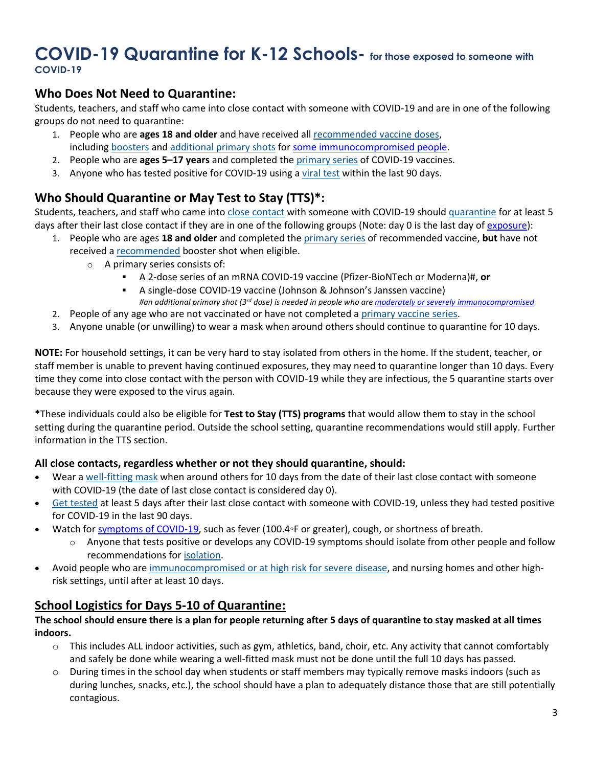## **COVID-19 Quarantine for K-12 Schools- for those exposed to someone with COVID-19**

### **Who Does Not Need to Quarantine:**

Students, teachers, and staff who came into close contact with someone with COVID-19 and are in one of the following groups do not need to quarantine:

- 1. People who are **ages 18 and older** and have received all [recommended vaccine doses,](https://www.cdc.gov/coronavirus/2019-ncov/vaccines/stay-up-to-date.html) including [boosters](https://www.cdc.gov/coronavirus/2019-ncov/vaccines/booster-shot.html) and [additional primary shots](https://www.cdc.gov/coronavirus/2019-ncov/vaccines/recommendations/immuno.html) fo[r some immunocompromised people.](https://www.cdc.gov/coronavirus/2019-ncov/vaccines/recommendations/immuno.html)
- 2. People who are **ages 5–17 years** and completed the [primary series](https://www.cdc.gov/coronavirus/2019-ncov/vaccines/stay-up-to-date.html) of COVID-19 vaccines.
- 3. Anyone who has tested positive for COVID-19 using a [viral test](https://www.cdc.gov/coronavirus/2019-ncov/symptoms-testing/testing.html) within the last 90 days.

## **Who Should Quarantine or May Test to Stay (TTS)\*:**

Students, teachers, and staff who came into [close contact](https://www.cdc.gov/coronavirus/2019-ncov/php/contact-tracing/contact-tracing-plan/appendix.html#contact) with someone with COVID-19 should [quarantine](https://www.cdc.gov/coronavirus/2019-ncov/your-health/quarantine-isolation.html#closecontact) for at least 5 days after their last close contact if they are in one of the following groups (Note: day 0 is the last day of [exposure\)](https://www.cdc.gov/coronavirus/2019-ncov/your-health/quarantine-isolation.html):

- 1. People who are ages **18 and older** and completed the [primary series](https://www.cdc.gov/coronavirus/2019-ncov/vaccines/stay-up-to-date.html) of recommended vaccine, **but** have not received a [recommended](https://www.cdc.gov/coronavirus/2019-ncov/vaccines/booster-shot.html) booster shot when eligible.
	- o A primary series consists of:
		- A 2-dose series of an mRNA COVID-19 vaccine (Pfizer-BioNTech or Moderna)#, **or**
		- A single-dose COVID-19 vaccine (Johnson & Johnson's Janssen vaccine) *#an additional primary shot (3rd dose) is needed in people who ar[e moderately or severely immunocompromised](https://www.cdc.gov/coronavirus/2019-ncov/vaccines/recommendations/immuno.html)*
- 2. People of any age who are not vaccinated or have not completed a [primary vaccine series.](https://www.cdc.gov/coronavirus/2019-ncov/vaccines/stay-up-to-date.html)
- 3. Anyone unable (or unwilling) to wear a mask when around others should continue to quarantine for 10 days.

**NOTE:** For household settings, it can be very hard to stay isolated from others in the home. If the student, teacher, or staff member is unable to prevent having continued exposures, they may need to quarantine longer than 10 days. Every time they come into close contact with the person with COVID-19 while they are infectious, the 5 quarantine starts over because they were exposed to the virus again.

**\***These individuals could also be eligible for **Test to Stay (TTS) programs** that would allow them to stay in the school setting during the quarantine period. Outside the school setting, quarantine recommendations would still apply. Further information in the TTS section.

#### **All close contacts, regardless whether or not they should quarantine, should:**

- Wear a [well-fitting mask](https://www.cdc.gov/coronavirus/2019-ncov/your-health/effective-masks.html) when around others for 10 days from the date of their last close contact with someone with COVID-19 (the date of last close contact is considered day 0).
- [Get tested](https://www.cdc.gov/coronavirus/2019-ncov/testing/diagnostic-testing.html) at least 5 days after their last close contact with someone with COVID-19, unless they had tested positive for COVID-19 in the last 90 days.
- Watch for [symptoms of COVID-19,](https://www.cdc.gov/coronavirus/2019-ncov/symptoms-testing/symptoms.html) such as fever (100.4◦F or greater), cough, or shortness of breath.
	- o Anyone that tests positive or develops any COVID-19 symptoms should isolate from other people and follow recommendations for [isolation.](https://www.cdc.gov/coronavirus/2019-ncov/community/schools-childcare/k-12-contact-tracing/about-isolation.html)
- Avoid people who are [immunocompromised or at high risk for severe disease,](https://www.cdc.gov/coronavirus/2019-ncov/need-extra-precautions/people-with-medical-conditions.html) and nursing homes and other highrisk settings, until after at least 10 days.

### **School Logistics for Days 5-10 of Quarantine:**

#### **The school should ensure there is a plan for people returning after 5 days of quarantine to stay masked at all times indoors.**

- $\circ$  This includes ALL indoor activities, such as gym, athletics, band, choir, etc. Any activity that cannot comfortably and safely be done while wearing a well-fitted mask must not be done until the full 10 days has passed.
- $\circ$  During times in the school day when students or staff members may typically remove masks indoors (such as during lunches, snacks, etc.), the school should have a plan to adequately distance those that are still potentially contagious.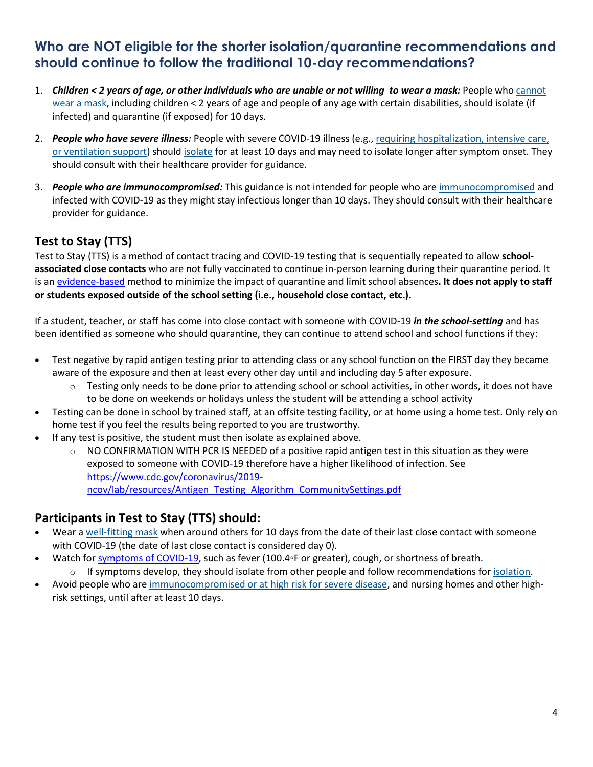## **Who are NOT eligible for the shorter isolation/quarantine recommendations and should continue to follow the traditional 10-day recommendations?**

- 1. *Children < 2 years of age, or other individuals who are unable or not willing to wear a mask:* People who [cannot](https://www.cdc.gov/coronavirus/2019-ncov/prevent-getting-sick/about-face-coverings.html)  [wear a mask,](https://www.cdc.gov/coronavirus/2019-ncov/prevent-getting-sick/about-face-coverings.html) including children < 2 years of age and people of any age with certain disabilities, should isolate (if infected) and quarantine (if exposed) for 10 days.
- 2. *People who have severe illness:* People with severe COVID-19 illness (e.g., [requiring hospitalization, intensive care,](https://www.cdc.gov/coronavirus/2019-ncov/hcp/duration-isolation.html)  [or ventilation support\)](https://www.cdc.gov/coronavirus/2019-ncov/hcp/duration-isolation.html) should [isolate](https://www.cdc.gov/coronavirus/2019-ncov/hcp/duration-isolation.html) for at least 10 days and may need to isolate longer after symptom onset. They should consult with their healthcare provider for guidance.
- 3. *People who are immunocompromised:* This guidance is not intended for people who are [immunocompromised](https://www.cdc.gov/coronavirus/2019-ncov/need-extra-precautions/people-with-medical-conditions.html) and infected with COVID-19 as they might stay infectious longer than 10 days. They should consult with their healthcare provider for guidance.

## **Test to Stay (TTS)**

Test to Stay (TTS) is a method of contact tracing and COVID-19 testing that is sequentially repeated to allow **schoolassociated close contacts** who are not fully vaccinated to continue in-person learning during their quarantine period. It is an [evidence-based](https://www.cdc.gov/coronavirus/2019-ncov/science/science-briefs/transmission_k_12_schools.html) method to minimize the impact of quarantine and limit school absences**. It does not apply to staff or students exposed outside of the school setting (i.e., household close contact, etc.).**

If a student, teacher, or staff has come into close contact with someone with COVID-19 *in the school-setting* and has been identified as someone who should quarantine, they can continue to attend school and school functions if they:

- Test negative by rapid antigen testing prior to attending class or any school function on the FIRST day they became aware of the exposure and then at least every other day until and including day 5 after exposure.
	- $\circ$  Testing only needs to be done prior to attending school or school activities, in other words, it does not have to be done on weekends or holidays unless the student will be attending a school activity
- Testing can be done in school by trained staff, at an offsite testing facility, or at home using a home test. Only rely on home test if you feel the results being reported to you are trustworthy.
- If any test is positive, the student must then isolate as explained above.
	- $\circ$  NO CONFIRMATION WITH PCR IS NEEDED of a positive rapid antigen test in this situation as they were exposed to someone with COVID-19 therefore have a higher likelihood of infection. See [https://www.cdc.gov/coronavirus/2019](https://www.cdc.gov/coronavirus/2019-ncov/lab/resources/Antigen_Testing_Algorithm_CommunitySettings.pdf) [ncov/lab/resources/Antigen\\_Testing\\_Algorithm\\_CommunitySettings.pdf](https://www.cdc.gov/coronavirus/2019-ncov/lab/resources/Antigen_Testing_Algorithm_CommunitySettings.pdf)

### **Participants in Test to Stay (TTS) should:**

- Wear a [well-fitting mask](https://www.cdc.gov/coronavirus/2019-ncov/your-health/effective-masks.html) when around others for 10 days from the date of their last close contact with someone with COVID-19 (the date of last close contact is considered day 0).
- Watch for [symptoms of COVID-19,](https://www.cdc.gov/coronavirus/2019-ncov/symptoms-testing/symptoms.html) such as fever (100.4◦F or greater), cough, or shortness of breath.  $\circ$  If symptoms develop, they should isolate from other people and follow recommendations for [isolation.](https://www.cdc.gov/coronavirus/2019-ncov/community/schools-childcare/k-12-contact-tracing/about-isolation.html)
- Avoid people who are [immunocompromised or at high risk for severe disease,](https://www.cdc.gov/coronavirus/2019-ncov/need-extra-precautions/people-with-medical-conditions.html) and nursing homes and other highrisk settings, until after at least 10 days.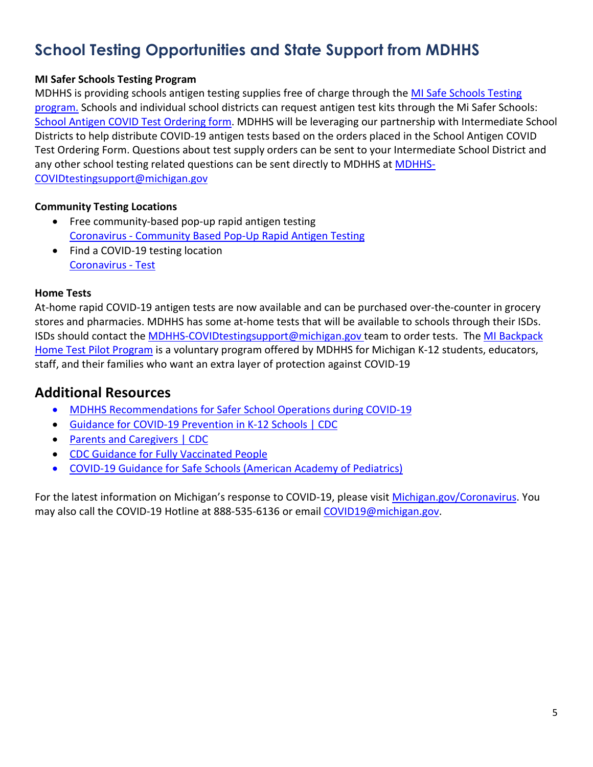## **School Testing Opportunities and State Support from MDHHS**

#### **MI Safer Schools Testing Program**

MDHHS is providing schools antigen testing supplies free of charge through the [MI Safe Schools Testing](https://gcc02.safelinks.protection.outlook.com/?url=https%3A%2F%2Fwww.michigan.gov%2Fcoronavirus%2F0%2C9753%2C7-406-98178_104699_104700_105077---%2C00.html&data=04%7C01%7CGroenM2%40michigan.gov%7C554362f1251049458ee008d97224d8ed%7Cd5fb7087377742ad966a892ef47225d1%7C0%7C0%7C637666324839934856%7CUnknown%7CTWFpbGZsb3d8eyJWIjoiMC4wLjAwMDAiLCJQIjoiV2luMzIiLCJBTiI6Ik1haWwiLCJXVCI6Mn0%3D%7C1000&sdata=2sqWX1Ue5xWXXgGUI45NXtLqIywTNZm9%2FWV6Fk1HBT4%3D&reserved=0)  [program.](https://gcc02.safelinks.protection.outlook.com/?url=https%3A%2F%2Fwww.michigan.gov%2Fcoronavirus%2F0%2C9753%2C7-406-98178_104699_104700_105077---%2C00.html&data=04%7C01%7CGroenM2%40michigan.gov%7C554362f1251049458ee008d97224d8ed%7Cd5fb7087377742ad966a892ef47225d1%7C0%7C0%7C637666324839934856%7CUnknown%7CTWFpbGZsb3d8eyJWIjoiMC4wLjAwMDAiLCJQIjoiV2luMzIiLCJBTiI6Ik1haWwiLCJXVCI6Mn0%3D%7C1000&sdata=2sqWX1Ue5xWXXgGUI45NXtLqIywTNZm9%2FWV6Fk1HBT4%3D&reserved=0) Schools and individual school districts can request antigen test kits through the Mi Safer Schools: [School Antigen COVID Test Ordering form.](https://gcc02.safelinks.protection.outlook.com/?url=https%3A%2F%2Fforms.office.com%2FPages%2FResponsePage.aspx%3Fid%3Dh3D71Xc3rUKWaoku9HIl0ZGHyz3HKppAusICATcUVNlUMEZHUkJKTExHQlo5VVpKNlpIRVZJTTg0SyQlQCN0PWcu%26wdLOR%3DcBB496C74-933E-4E39-8B2A-37EBC570E455&data=04%7C01%7CGroenM2%40michigan.gov%7C554362f1251049458ee008d97224d8ed%7Cd5fb7087377742ad966a892ef47225d1%7C0%7C0%7C637666324839944812%7CUnknown%7CTWFpbGZsb3d8eyJWIjoiMC4wLjAwMDAiLCJQIjoiV2luMzIiLCJBTiI6Ik1haWwiLCJXVCI6Mn0%3D%7C1000&sdata=ojpeqL7Uxs8kviKX9lX9kij5cssADatk%2BRgagT%2BCQys%3D&reserved=0) MDHHS will be leveraging our partnership with Intermediate School Districts to help distribute COVID-19 antigen tests based on the orders placed in the School Antigen COVID Test Ordering Form. Questions about test supply orders can be sent to your Intermediate School District and any other school testing related questions can be sent directly to MDHHS at [MDHHS-](mailto:MDHHS-COVIDtestingsupport@michigan.gov)[COVIDtestingsupport@michigan.gov](mailto:MDHHS-COVIDtestingsupport@michigan.gov)

#### **Community Testing Locations**

- Free community-based pop-up rapid antigen testing Coronavirus - [Community Based Pop-Up Rapid Antigen Testing](https://www.michigan.gov/coronavirus/0,9753,7-406-98178_104699_104714-554722--,00.html)
- Find a COVID-19 testing location [Coronavirus -](https://www.michigan.gov/coronavirus/0,9753,7-406-99891_99912---,00.html) Test

#### **Home Tests**

At-home rapid COVID-19 antigen tests are now available and can be purchased over-the-counter in grocery stores and pharmacies. MDHHS has some at-home tests that will be available to schools through their ISDs. ISDs should contact the [MDHHS-COVIDtestingsupport@michigan.gov](mailto:MDHHS-COVIDtestingsupport@michigan.gov) team to order tests. The [MI Backpack](https://www.michigan.gov/coronavirus/0,9753,7-406-98178_104699_104700_105077-572622--,00.html)  [Home Test Pilot Program](https://www.michigan.gov/coronavirus/0,9753,7-406-98178_104699_104700_105077-572622--,00.html) is a voluntary program offered by MDHHS for Michigan K-12 students, educators, staff, and their families who want an extra layer of protection against COVID-19

## **Additional Resources**

- [MDHHS Recommendations for Safer School Operations during COVID-19](https://www.michigan.gov/documents/coronavirus/COVID-19_Guidance_for_Operating_Schools_Safely_728838_7.pdf)
- [Guidance for COVID-19 Prevention in K-12 Schools | CDC](https://www.cdc.gov/coronavirus/2019-ncov/community/schools-childcare/k-12-guidance.html#anchor_1625661937509)
- [Parents and Caregivers | CDC](https://www.cdc.gov/coronavirus/2019-ncov/community/schools-childcare/parent-faqs.html)
- [CDC Guidance for Fully Vaccinated People](https://www.cdc.gov/coronavirus/2019-ncov/vaccines/fully-vaccinated-guidance.html)
- [COVID-19 Guidance for Safe Schools \(American Academy of Pediatrics\)](https://services.aap.org/en/pages/2019-novel-coronavirus-covid-19-infections/clinical-guidance/covid-19-planning-considerations-return-to-in-person-education-in-schools/)

For the latest information on Michigan's response to COVID-19, please visit [Michigan.gov/Coronavirus.](http://www.michigan.gov/Coronavirus) You may also call the COVID-19 Hotline at 888-535-6136 or email [COVID19@michigan.gov.](mailto:COVID19@michigan.gov)